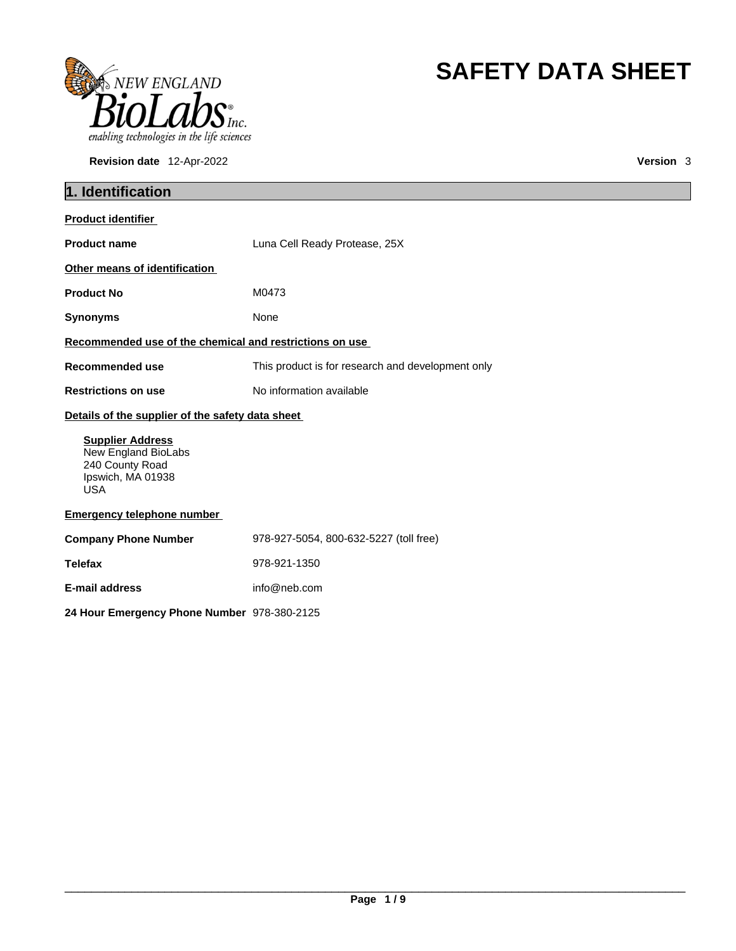

**Revision date** 12-Apr-2022 **Version** 3

# **SAFETY DATA SHEET**

| 1. Identification                                                                                    |                                                   |  |  |
|------------------------------------------------------------------------------------------------------|---------------------------------------------------|--|--|
| <b>Product identifier</b>                                                                            |                                                   |  |  |
| <b>Product name</b>                                                                                  | Luna Cell Ready Protease, 25X                     |  |  |
| Other means of identification                                                                        |                                                   |  |  |
| <b>Product No</b>                                                                                    | M0473                                             |  |  |
| <b>Synonyms</b>                                                                                      | None                                              |  |  |
| Recommended use of the chemical and restrictions on use                                              |                                                   |  |  |
| <b>Recommended use</b>                                                                               | This product is for research and development only |  |  |
| <b>Restrictions on use</b>                                                                           | No information available                          |  |  |
| Details of the supplier of the safety data sheet                                                     |                                                   |  |  |
| <b>Supplier Address</b><br>New England BioLabs<br>240 County Road<br>Ipswich, MA 01938<br><b>USA</b> |                                                   |  |  |
| <b>Emergency telephone number</b>                                                                    |                                                   |  |  |
| <b>Company Phone Number</b>                                                                          | 978-927-5054, 800-632-5227 (toll free)            |  |  |
| <b>Telefax</b>                                                                                       | 978-921-1350                                      |  |  |
| E-mail address                                                                                       | info@neb.com                                      |  |  |
| 24 Hour Emergency Phone Number 978-380-2125                                                          |                                                   |  |  |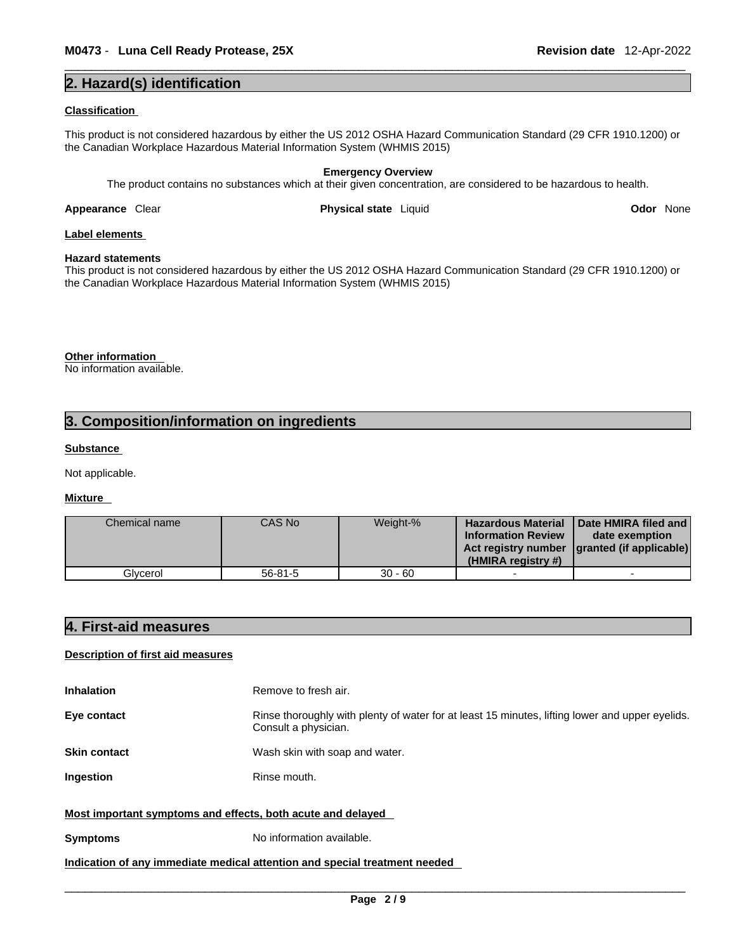# **2. Hazard(s) identification**

#### **Classification**

This product is not considered hazardous by either the US 2012 OSHA Hazard Communication Standard (29 CFR 1910.1200) or the Canadian Workplace Hazardous Material Information System (WHMIS 2015)

# **Emergency Overview**

The product contains no substances which at their given concentration, are considered to be hazardous to health.

**Appearance Clear <b>Physical state** Liquid

**Odor** None

# **Label elements**

### **Hazard statements**

This product is not considered hazardous by either the US 2012 OSHA Hazard Communication Standard (29 CFR 1910.1200) or the Canadian Workplace Hazardous Material Information System (WHMIS 2015)

**Other information** 

No information available.

# **3. Composition/information on ingredients**

### **Substance**

Not applicable.

### **Mixture**

| Chemical name | CAS No        | Weight-%  | <b>Hazardous Material</b><br><b>Information Review</b><br>(HMIRA registry #) | Date HMIRA filed and<br>date exemption<br>Act registry number   granted (if applicable) |  |
|---------------|---------------|-----------|------------------------------------------------------------------------------|-----------------------------------------------------------------------------------------|--|
| Glvcerol      | $56 - 81 - 5$ | $30 - 60$ |                                                                              |                                                                                         |  |

# **4. First-aid measures**

### **Description of first aid measures**

| <b>Inhalation</b>                                                                        | Remove to fresh air.                                                                                                    |  |
|------------------------------------------------------------------------------------------|-------------------------------------------------------------------------------------------------------------------------|--|
| Eye contact                                                                              | Rinse thoroughly with plenty of water for at least 15 minutes, lifting lower and upper eyelids.<br>Consult a physician. |  |
| <b>Skin contact</b>                                                                      | Wash skin with soap and water.                                                                                          |  |
| <b>Ingestion</b>                                                                         | Rinse mouth.                                                                                                            |  |
| Most important symptoms and effects, both acute and delayed<br>No information available. |                                                                                                                         |  |
| <b>Symptoms</b>                                                                          |                                                                                                                         |  |

### **Indication of any immediate medical attention and special treatment needed**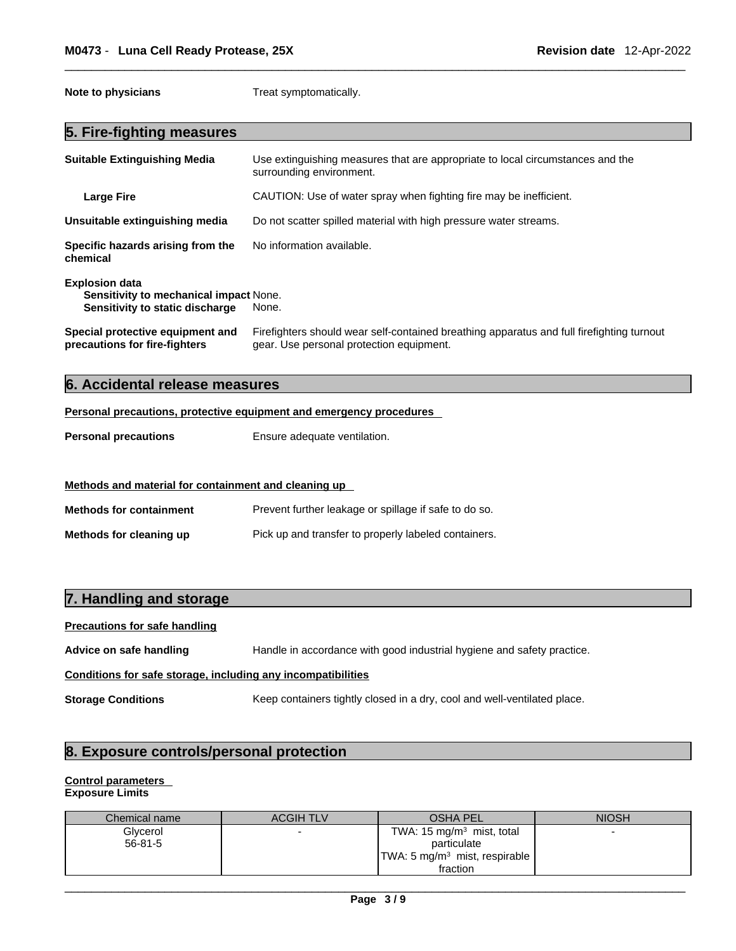**Note to physicians** Treat symptomatically.

### **5. Fire-fighting measures**

| <b>Suitable Extinguishing Media</b>                                                                       | Use extinguishing measures that are appropriate to local circumstances and the<br>surrounding environment.                            |
|-----------------------------------------------------------------------------------------------------------|---------------------------------------------------------------------------------------------------------------------------------------|
| <b>Large Fire</b>                                                                                         | CAUTION: Use of water spray when fighting fire may be inefficient.                                                                    |
| Unsuitable extinguishing media                                                                            | Do not scatter spilled material with high pressure water streams.                                                                     |
| Specific hazards arising from the<br>chemical                                                             | No information available.                                                                                                             |
| <b>Explosion data</b><br><b>Sensitivity to mechanical impact None.</b><br>Sensitivity to static discharge | None.                                                                                                                                 |
| Special protective equipment and<br>precautions for fire-fighters                                         | Firefighters should wear self-contained breathing apparatus and full firefighting turnout<br>gear. Use personal protection equipment. |

# **6. Accidental release measures**

#### **Personal precautions, protective equipment and emergency procedures**

**Personal precautions** Ensure adequate ventilation.

### **Methods and material for containment and cleaning up**

| <b>Methods for containment</b> | Prevent further leakage or spillage if safe to do so. |
|--------------------------------|-------------------------------------------------------|
| Methods for cleaning up        | Pick up and transfer to properly labeled containers.  |

# **7. Handling and storage**

### **Precautions for safe handling**

**Advice on safe handling** Handle in accordance with good industrial hygiene and safety practice.

### **Conditions for safe storage, including any incompatibilities**

**Storage Conditions** Keep containers tightly closed in a dry, cool and well-ventilated place.

# **8. Exposure controls/personal protection**

### **Control parameters Exposure Limits**

| Chemical name | <b>ACGIH TLV</b> | <b>OSHA PEL</b>                           | <b>NIOSH</b> |
|---------------|------------------|-------------------------------------------|--------------|
| Glycerol      |                  | TWA: $15 \text{ mg/m}^3$ mist, total      | -            |
| $56 - 81 - 5$ |                  | particulate                               |              |
|               |                  | TWA: 5 mg/m <sup>3</sup> mist, respirable |              |
|               |                  | fraction                                  |              |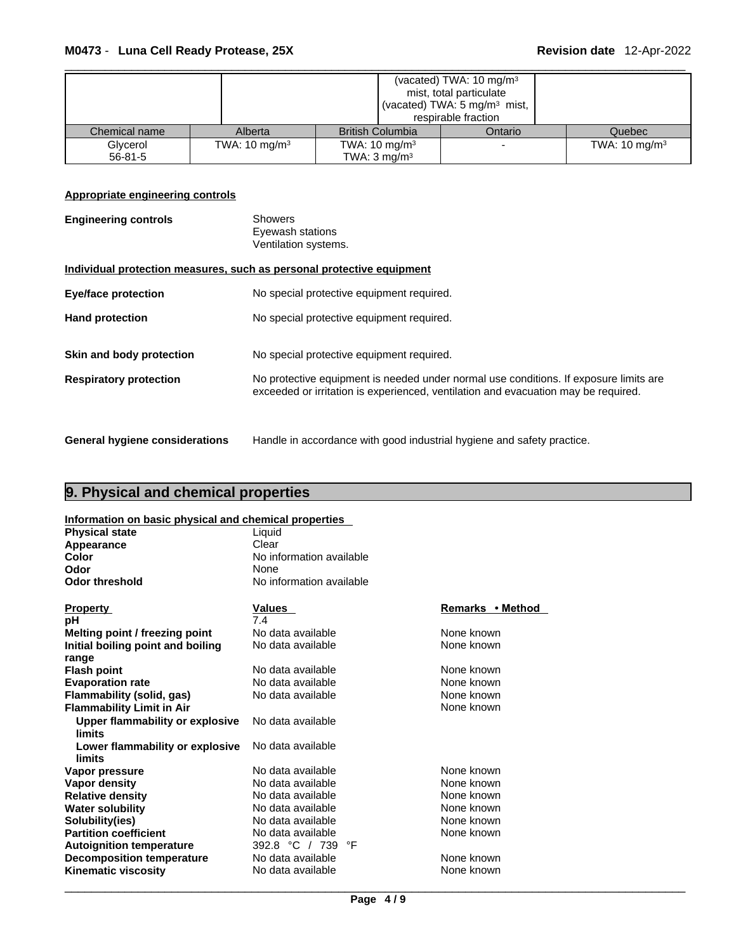|               |                          |                          | (vacated) TWA: $10 \text{ mg/m}^3$<br>mist, total particulate<br>(vacated) TWA: 5 mg/m <sup>3</sup> mist,<br>respirable fraction |                          |
|---------------|--------------------------|--------------------------|----------------------------------------------------------------------------------------------------------------------------------|--------------------------|
| Chemical name | Alberta                  | <b>British Columbia</b>  | Ontario                                                                                                                          | Quebec                   |
| Glycerol      | TWA: $10 \text{ mg/m}^3$ | TWA: $10 \text{ mg/m}^3$ |                                                                                                                                  | TWA: $10 \text{ mg/m}^3$ |
| $56 - 81 - 5$ |                          | TWA: $3 \text{ mg/m}^3$  |                                                                                                                                  |                          |

# **Appropriate engineering controls**

| <b>Engineering controls</b>           | <b>Showers</b><br>Eyewash stations<br>Ventilation systems.                                                                                                                  |
|---------------------------------------|-----------------------------------------------------------------------------------------------------------------------------------------------------------------------------|
|                                       | Individual protection measures, such as personal protective equipment                                                                                                       |
| <b>Eye/face protection</b>            | No special protective equipment required.                                                                                                                                   |
| <b>Hand protection</b>                | No special protective equipment required.                                                                                                                                   |
| Skin and body protection              | No special protective equipment required.                                                                                                                                   |
| <b>Respiratory protection</b>         | No protective equipment is needed under normal use conditions. If exposure limits are<br>exceeded or irritation is experienced, ventilation and evacuation may be required. |
| <b>General hygiene considerations</b> | Handle in accordance with good industrial hygiene and safety practice.                                                                                                      |

# **9. Physical and chemical properties**

| Information on basic physical and chemical properties |                          |                  |  |
|-------------------------------------------------------|--------------------------|------------------|--|
| <b>Physical state</b>                                 | Liquid                   |                  |  |
| Appearance                                            | Clear                    |                  |  |
| Color                                                 | No information available |                  |  |
| Odor                                                  | None                     |                  |  |
| <b>Odor threshold</b>                                 | No information available |                  |  |
| <b>Property</b>                                       | <b>Values</b>            | Remarks • Method |  |
| рH                                                    | 7.4                      |                  |  |
| Melting point / freezing point                        | No data available        | None known       |  |
| Initial boiling point and boiling                     | No data available        | None known       |  |
| range                                                 |                          |                  |  |
| <b>Flash point</b>                                    | No data available        | None known       |  |
| <b>Evaporation rate</b>                               | No data available        | None known       |  |
| <b>Flammability (solid, gas)</b>                      | No data available        | None known       |  |
| <b>Flammability Limit in Air</b>                      |                          | None known       |  |
| Upper flammability or explosive                       | No data available        |                  |  |
| limits                                                |                          |                  |  |
| Lower flammability or explosive<br>limits             | No data available        |                  |  |
| Vapor pressure                                        | No data available        | None known       |  |
| <b>Vapor density</b>                                  | No data available        | None known       |  |
| <b>Relative density</b>                               | No data available        | None known       |  |
| <b>Water solubility</b>                               | No data available        | None known       |  |
| Solubility(ies)                                       | No data available        | None known       |  |
| <b>Partition coefficient</b>                          | No data available        | None known       |  |
| <b>Autoignition temperature</b>                       | 392.8 °C / 739<br>°F     |                  |  |
| <b>Decomposition temperature</b>                      | No data available        | None known       |  |
| <b>Kinematic viscosity</b>                            | No data available        | None known       |  |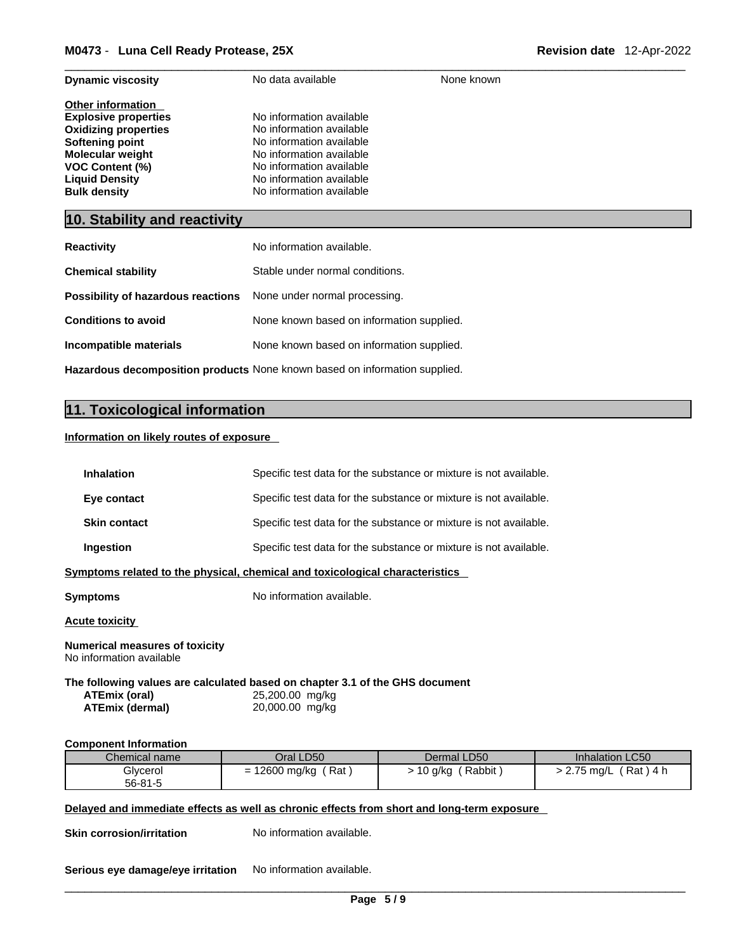| <b>Dynamic viscosity</b>                                                                                                                                                                                              | No data available                                                                                                                                                                                | None known |
|-----------------------------------------------------------------------------------------------------------------------------------------------------------------------------------------------------------------------|--------------------------------------------------------------------------------------------------------------------------------------------------------------------------------------------------|------------|
| <b>Other information</b><br><b>Explosive properties</b><br><b>Oxidizing properties</b><br><b>Softening point</b><br><b>Molecular weight</b><br><b>VOC Content (%)</b><br><b>Liquid Density</b><br><b>Bulk density</b> | No information available<br>No information available<br>No information available<br>No information available<br>No information available<br>No information available<br>No information available |            |
| 10. Stability and reactivity                                                                                                                                                                                          |                                                                                                                                                                                                  |            |
| <b>Reactivity</b>                                                                                                                                                                                                     | No information available.                                                                                                                                                                        |            |
| <b>Chemical stability</b>                                                                                                                                                                                             | Stable under normal conditions.                                                                                                                                                                  |            |
| Possibility of hazardous reactions                                                                                                                                                                                    | None under normal processing.                                                                                                                                                                    |            |
| <b>Conditions to avoid</b>                                                                                                                                                                                            | None known based on information supplied.                                                                                                                                                        |            |
| Incompatible materials                                                                                                                                                                                                | None known based on information supplied.                                                                                                                                                        |            |
|                                                                                                                                                                                                                       | <b>Hazardous decomposition products</b> None known based on information supplied.                                                                                                                |            |

# **11. Toxicological information**

### **Information on likely routes of exposure**

| <b>Inhalation</b>                                                                                                       |                                    | Specific test data for the substance or mixture is not available. |                         |  |
|-------------------------------------------------------------------------------------------------------------------------|------------------------------------|-------------------------------------------------------------------|-------------------------|--|
| Eye contact                                                                                                             |                                    | Specific test data for the substance or mixture is not available. |                         |  |
| <b>Skin contact</b>                                                                                                     |                                    | Specific test data for the substance or mixture is not available. |                         |  |
| Ingestion                                                                                                               |                                    | Specific test data for the substance or mixture is not available. |                         |  |
| Symptoms related to the physical, chemical and toxicological characteristics                                            |                                    |                                                                   |                         |  |
| <b>Symptoms</b>                                                                                                         | No information available.          |                                                                   |                         |  |
| <b>Acute toxicity</b>                                                                                                   |                                    |                                                                   |                         |  |
| <b>Numerical measures of toxicity</b><br>No information available                                                       |                                    |                                                                   |                         |  |
| The following values are calculated based on chapter 3.1 of the GHS document<br>ATEmix (oral)<br><b>ATEmix (dermal)</b> | 25,200.00 mg/kg<br>20,000.00 mg/kg |                                                                   |                         |  |
| <b>Component Information</b>                                                                                            |                                    |                                                                   |                         |  |
| Chemical name                                                                                                           | Oral LD50                          | Dermal LD50                                                       | Inhalation LC50         |  |
| Glycerol                                                                                                                | $= 12600$ mg/kg (Rat)              | $> 10$ g/kg (Rabbit)                                              | $> 2.75$ mg/L (Rat) 4 h |  |

**Skin corrosion/irritation** No information available.

**Serious eye damage/eye irritation** No information available.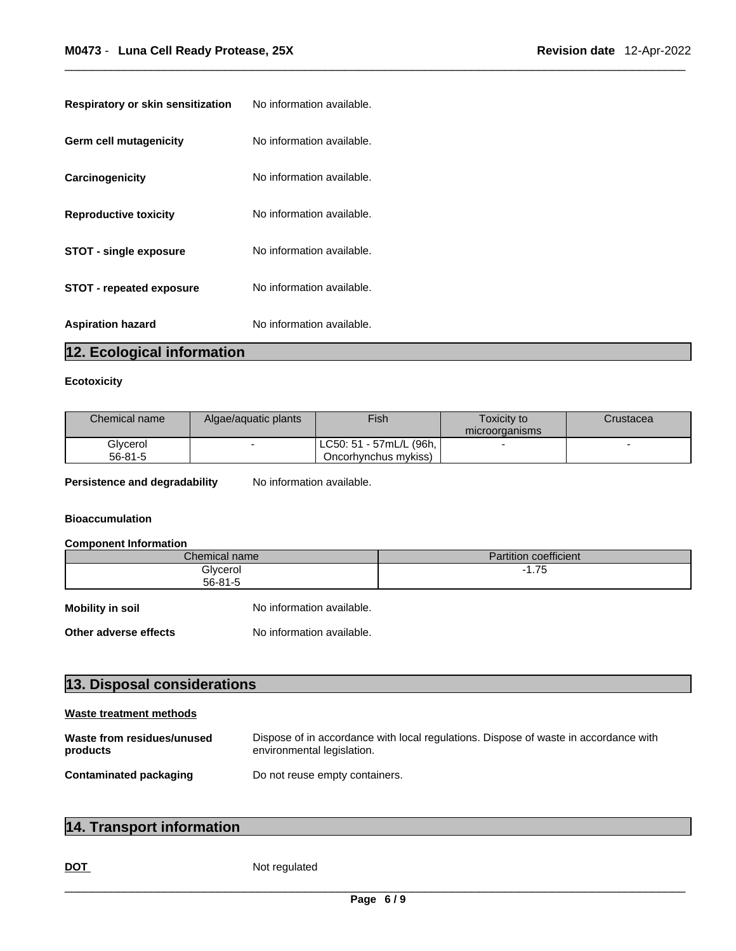| <b>Respiratory or skin sensitization</b> | No information available. |
|------------------------------------------|---------------------------|
| Germ cell mutagenicity                   | No information available. |
| Carcinogenicity                          | No information available. |
| <b>Reproductive toxicity</b>             | No information available. |
| <b>STOT - single exposure</b>            | No information available. |
| <b>STOT - repeated exposure</b>          | No information available. |
| <b>Aspiration hazard</b>                 | No information available. |

# **12. Ecological information**

### **Ecotoxicity**

| Chemical name | Algae/aguatic plants | Fish                                   | Toxicitv to<br>microorganisms | Crustacea |
|---------------|----------------------|----------------------------------------|-------------------------------|-----------|
|               |                      |                                        |                               |           |
| Glycerol      |                      | ! LC50: 51 - 57mL/L (96h, <sub>i</sub> |                               |           |
| $56 - 81 - 5$ |                      | Oncorhynchus mykiss)                   |                               |           |

**Persistence and degradability** No information available.

### **Bioaccumulation**

# **Component Information**

|                         | Chemical name             | <b>Partition coefficient</b> |
|-------------------------|---------------------------|------------------------------|
|                         | Glycerol<br>$56 - 81 - 5$ | $-1.75$                      |
| <b>Mobility in soil</b> | No information available. |                              |
| Other adverse effects   | No information available. |                              |

|  |  | <b>13. Disposal considerations</b> |
|--|--|------------------------------------|
|--|--|------------------------------------|

| Waste treatment methods                |                                                                                                                    |  |  |  |
|----------------------------------------|--------------------------------------------------------------------------------------------------------------------|--|--|--|
| Waste from residues/unused<br>products | Dispose of in accordance with local regulations. Dispose of waste in accordance with<br>environmental legislation. |  |  |  |
| <b>Contaminated packaging</b>          | Do not reuse empty containers.                                                                                     |  |  |  |

# **14. Transport information**

DOT Not regulated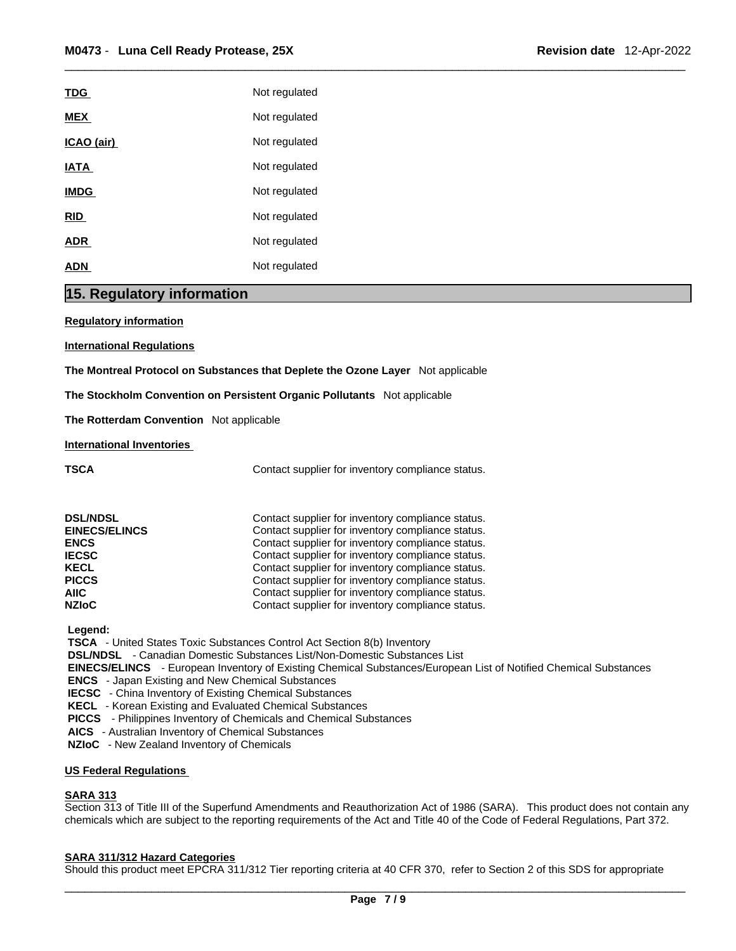| <b>TDG</b>  | Not regulated |
|-------------|---------------|
| <b>MEX</b>  | Not regulated |
| ICAO (air)  | Not regulated |
| <b>IATA</b> | Not regulated |
| <b>IMDG</b> | Not regulated |
| <b>RID</b>  | Not regulated |
| <b>ADR</b>  | Not regulated |
| ADN         | Not regulated |

# **15. Regulatory information**

**Regulatory information**

**International Regulations**

**The Montreal Protocol on Substances that Deplete the Ozone Layer** Not applicable

**The Stockholm Convention on Persistent Organic Pollutants** Not applicable

**The Rotterdam Convention** Not applicable

**International Inventories**

**TSCA Contact supplier for inventory compliance status.** 

| <b>DSL/NDSL</b>      | Contact supplier for inventory compliance status. |
|----------------------|---------------------------------------------------|
| <b>EINECS/ELINCS</b> | Contact supplier for inventory compliance status. |
| <b>ENCS</b>          | Contact supplier for inventory compliance status. |
| <b>IECSC</b>         | Contact supplier for inventory compliance status. |
| KECL                 | Contact supplier for inventory compliance status. |
| <b>PICCS</b>         | Contact supplier for inventory compliance status. |
| AIIC-                | Contact supplier for inventory compliance status. |
| <b>NZIoC</b>         | Contact supplier for inventory compliance status. |

 **Legend:** 

 **TSCA** - United States Toxic Substances Control Act Section 8(b) Inventory

 **DSL/NDSL** - Canadian Domestic Substances List/Non-Domestic Substances List

 **EINECS/ELINCS** - European Inventory of Existing Chemical Substances/European List of Notified Chemical Substances

 **ENCS** - Japan Existing and New Chemical Substances

 **IECSC** - China Inventory of Existing Chemical Substances

 **KECL** - Korean Existing and Evaluated Chemical Substances

 **PICCS** - Philippines Inventory of Chemicals and Chemical Substances

 **AICS** - Australian Inventory of Chemical Substances

 **NZIoC** - New Zealand Inventory of Chemicals

### **US Federal Regulations**

### **SARA 313**

Section 313 of Title III of the Superfund Amendments and Reauthorization Act of 1986 (SARA). This product does not contain any chemicals which are subject to the reporting requirements of the Act and Title 40 of the Code of Federal Regulations, Part 372.

### **SARA 311/312 Hazard Categories**

Should this product meet EPCRA 311/312 Tier reporting criteria at 40 CFR 370, refer to Section 2 of this SDS for appropriate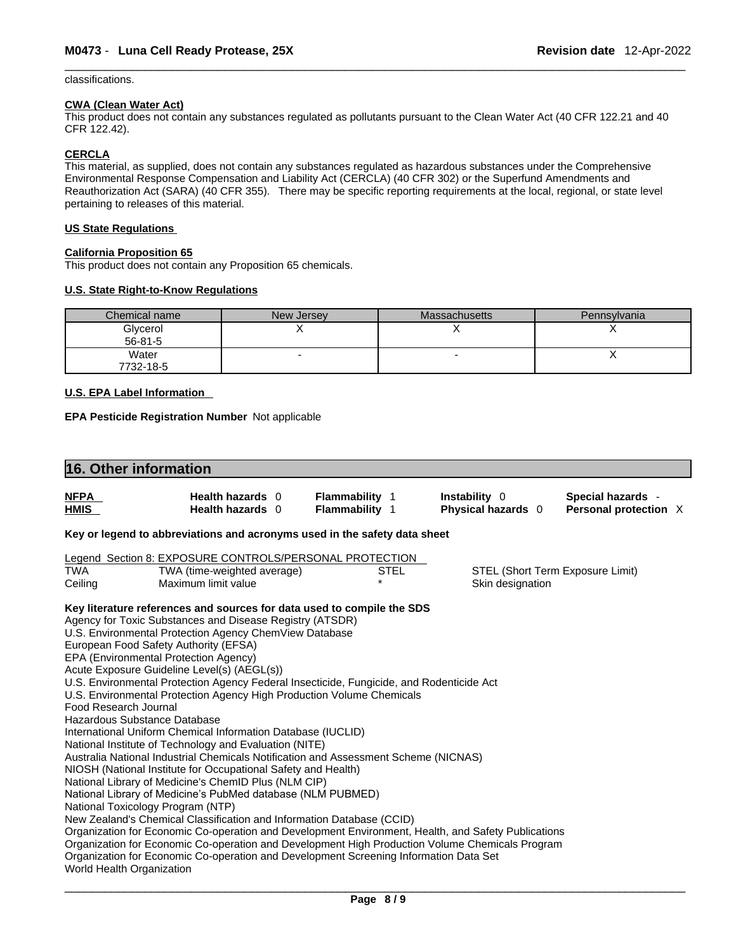### classifications.

### **CWA (Clean WaterAct)**

This product does not contain any substances regulated as pollutants pursuant to the Clean Water Act (40 CFR 122.21 and 40 CFR 122.42).

### **CERCLA**

This material, as supplied, does not contain any substances regulated as hazardous substances under the Comprehensive Environmental Response Compensation and Liability Act (CERCLA) (40 CFR 302) or the Superfund Amendments and Reauthorization Act (SARA) (40 CFR 355). There may be specific reporting requirements at the local, regional, or state level pertaining to releases of this material.

#### **US State Regulations**

### **California Proposition 65**

This product does not contain any Proposition 65 chemicals.

### **U.S. State Right-to-Know Regulations**

| Chemical name | New Jersey | <b>Massachusetts</b> | Pennsylvania |
|---------------|------------|----------------------|--------------|
| Glycerol      |            |                      |              |
| $56 - 81 - 5$ |            |                      |              |
| Water         |            |                      |              |
| 7732-18-5     |            |                      |              |

### **U.S. EPA Label Information**

**EPA Pesticide Registration Number** Not applicable

| 16. Other information     |                                                                                                                                         |                       |                    |                                  |
|---------------------------|-----------------------------------------------------------------------------------------------------------------------------------------|-----------------------|--------------------|----------------------------------|
| <b>NFPA</b>               | Health hazards 0                                                                                                                        | <b>Flammability 1</b> | Instability 0      | Special hazards -                |
| <b>HMIS</b>               | Health hazards 0                                                                                                                        | <b>Flammability</b> 1 | Physical hazards 0 | Personal protection X            |
|                           | Key or legend to abbreviations and acronyms used in the safety data sheet                                                               |                       |                    |                                  |
|                           | Legend Section 8: EXPOSURE CONTROLS/PERSONAL PROTECTION                                                                                 |                       |                    |                                  |
| TWA                       | TWA (time-weighted average)                                                                                                             | STEL                  |                    | STEL (Short Term Exposure Limit) |
| Ceiling                   | Maximum limit value                                                                                                                     |                       | Skin designation   |                                  |
|                           | Key literature references and sources for data used to compile the SDS                                                                  |                       |                    |                                  |
|                           | Agency for Toxic Substances and Disease Registry (ATSDR)                                                                                |                       |                    |                                  |
|                           | U.S. Environmental Protection Agency ChemView Database                                                                                  |                       |                    |                                  |
|                           | European Food Safety Authority (EFSA)                                                                                                   |                       |                    |                                  |
|                           | EPA (Environmental Protection Agency)                                                                                                   |                       |                    |                                  |
|                           | Acute Exposure Guideline Level(s) (AEGL(s))<br>U.S. Environmental Protection Agency Federal Insecticide, Fungicide, and Rodenticide Act |                       |                    |                                  |
|                           | U.S. Environmental Protection Agency High Production Volume Chemicals                                                                   |                       |                    |                                  |
| Food Research Journal     |                                                                                                                                         |                       |                    |                                  |
|                           | Hazardous Substance Database                                                                                                            |                       |                    |                                  |
|                           | International Uniform Chemical Information Database (IUCLID)                                                                            |                       |                    |                                  |
|                           | National Institute of Technology and Evaluation (NITE)                                                                                  |                       |                    |                                  |
|                           | Australia National Industrial Chemicals Notification and Assessment Scheme (NICNAS)                                                     |                       |                    |                                  |
|                           | NIOSH (National Institute for Occupational Safety and Health)                                                                           |                       |                    |                                  |
|                           | National Library of Medicine's ChemID Plus (NLM CIP)                                                                                    |                       |                    |                                  |
|                           | National Library of Medicine's PubMed database (NLM PUBMED)                                                                             |                       |                    |                                  |
|                           | National Toxicology Program (NTP)                                                                                                       |                       |                    |                                  |
|                           | New Zealand's Chemical Classification and Information Database (CCID)                                                                   |                       |                    |                                  |
|                           | Organization for Economic Co-operation and Development Environment, Health, and Safety Publications                                     |                       |                    |                                  |
|                           | Organization for Economic Co-operation and Development High Production Volume Chemicals Program                                         |                       |                    |                                  |
| World Health Organization | Organization for Economic Co-operation and Development Screening Information Data Set                                                   |                       |                    |                                  |